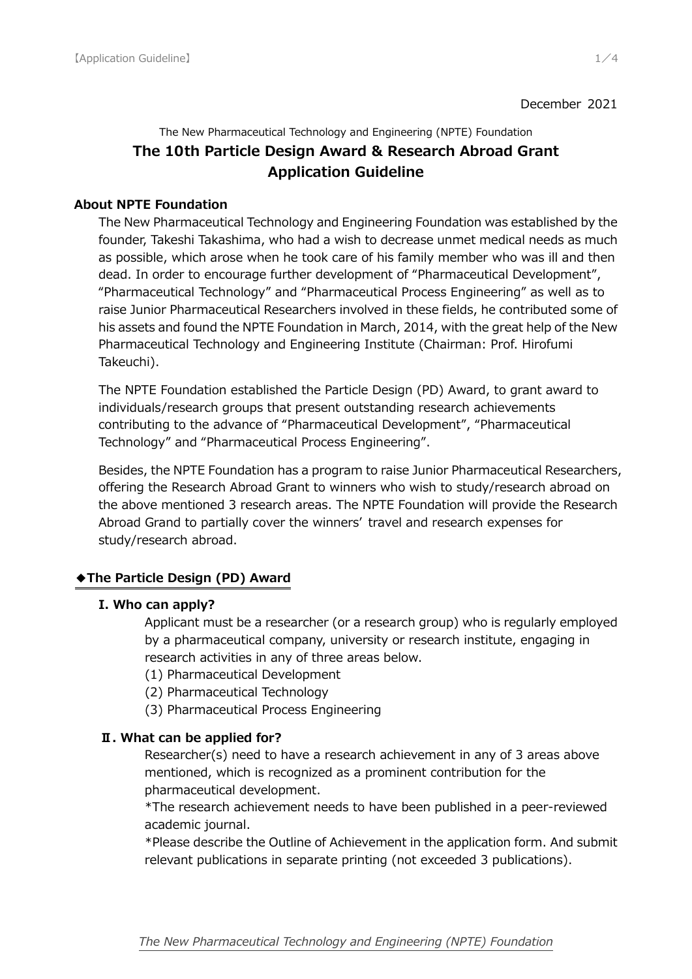#### December 2021

The New Pharmaceutical Technology and Engineering (NPTE) Foundation

# **The 10th Particle Design Award & Research Abroad Grant Application Guideline**

### **About NPTE Foundation**

The New Pharmaceutical Technology and Engineering Foundation was established by the founder, Takeshi Takashima, who had a wish to decrease unmet medical needs as much as possible, which arose when he took care of his family member who was ill and then dead. In order to encourage further development of "Pharmaceutical Development", "Pharmaceutical Technology" and "Pharmaceutical Process Engineering" as well as to raise Junior Pharmaceutical Researchers involved in these fields, he contributed some of his assets and found the NPTE Foundation in March, 2014, with the great help of the New Pharmaceutical Technology and Engineering Institute (Chairman: Prof. Hirofumi Takeuchi).

The NPTE Foundation established the Particle Design (PD) Award, to grant award to individuals/research groups that present outstanding research achievements contributing to the advance of "Pharmaceutical Development", "Pharmaceutical Technology" and "Pharmaceutical Process Engineering".

Besides, the NPTE Foundation has a program to raise Junior Pharmaceutical Researchers, offering the Research Abroad Grant to winners who wish to study/research abroad on the above mentioned 3 research areas. The NPTE Foundation will provide the Research Abroad Grand to partially cover the winners' travel and research expenses for study/research abroad.

## **◆The Particle Design (PD) Award**

## **Ι. Who can apply?**

Applicant must be a researcher (or a research group) who is regularly employed by a pharmaceutical company, university or research institute, engaging in research activities in any of three areas below.

- (1) Pharmaceutical Development
- (2) Pharmaceutical Technology
- (3) Pharmaceutical Process Engineering

## **Ⅱ. What can be applied for?**

Researcher(s) need to have a research achievement in any of 3 areas above mentioned, which is recognized as a prominent contribution for the pharmaceutical development.

\*The research achievement needs to have been published in a peer-reviewed academic journal.

\*Please describe the Outline of Achievement in the application form. And submit relevant publications in separate printing (not exceeded 3 publications).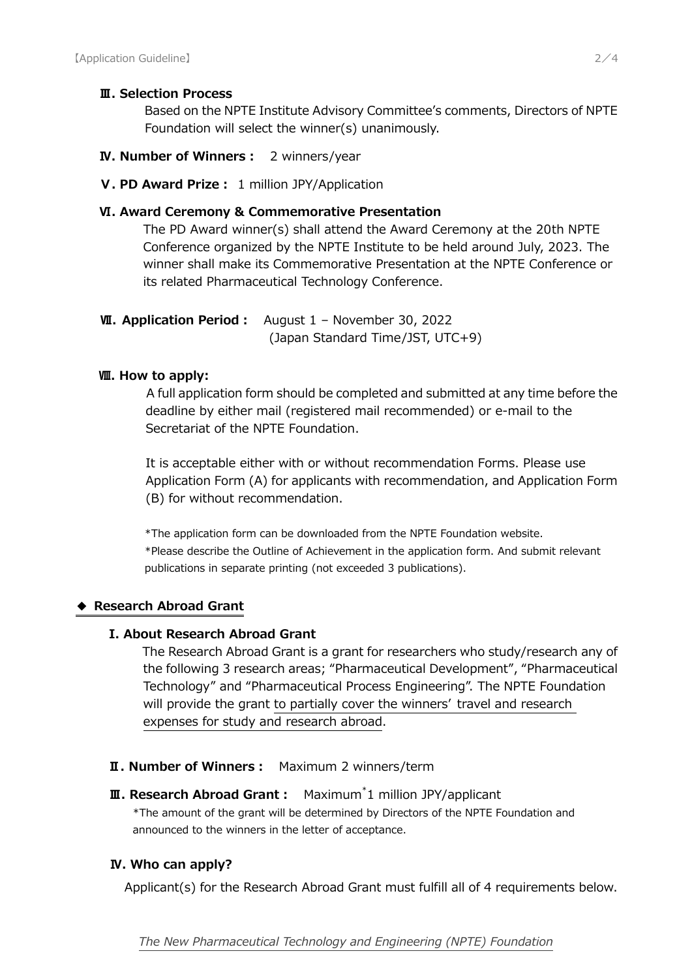### **Ⅲ. Selection Process**

Based on the NPTE Institute Advisory Committee's comments, Directors of NPTE Foundation will select the winner(s) unanimously.

- **Ⅳ. Number of Winners:** 2 winners/year
- **Ⅴ. PD Award Prize:** 1 million JPY/Application

## **Ⅵ. Award Ceremony & Commemorative Presentation**

The PD Award winner(s) shall attend the Award Ceremony at the 20th NPTE Conference organized by the NPTE Institute to be held around July, 2023. The winner shall make its Commemorative Presentation at the NPTE Conference or its related Pharmaceutical Technology Conference.

**Ⅶ. Application Period:** August 1 – November 30, 2022 (Japan Standard Time/JST, UTC+9)

#### **Ⅷ. How to apply:**

A full application form should be completed and submitted at any time before the deadline by either mail (registered mail recommended) or e-mail to the Secretariat of the NPTE Foundation.

It is acceptable either with or without recommendation Forms. Please use Application Form (A) for applicants with recommendation, and Application Form (B) for without recommendation.

\*The application form can be downloaded from the NPTE Foundation website. \*Please describe the Outline of Achievement in the application form. And submit relevant publications in separate printing (not exceeded 3 publications).

#### **◆ Research Abroad Grant**

#### **Ι. About Research Abroad Grant**

The Research Abroad Grant is a grant for researchers who study/research any of the following 3 research areas; "Pharmaceutical Development", "Pharmaceutical Technology" and "Pharmaceutical Process Engineering". The NPTE Foundation will provide the grant to partially cover the winners' travel and research expenses for study and research abroad.

#### **Ⅱ. Number of Winners:** Maximum 2 winners/term

**Ⅲ. Research Abroad Grant:** Maximum\* 1 million JPY/applicant \*The amount of the grant will be determined by Directors of the NPTE Foundation and announced to the winners in the letter of acceptance.

## **Ⅳ. Who can apply?**

Applicant(s) for the Research Abroad Grant must fulfill all of 4 requirements below.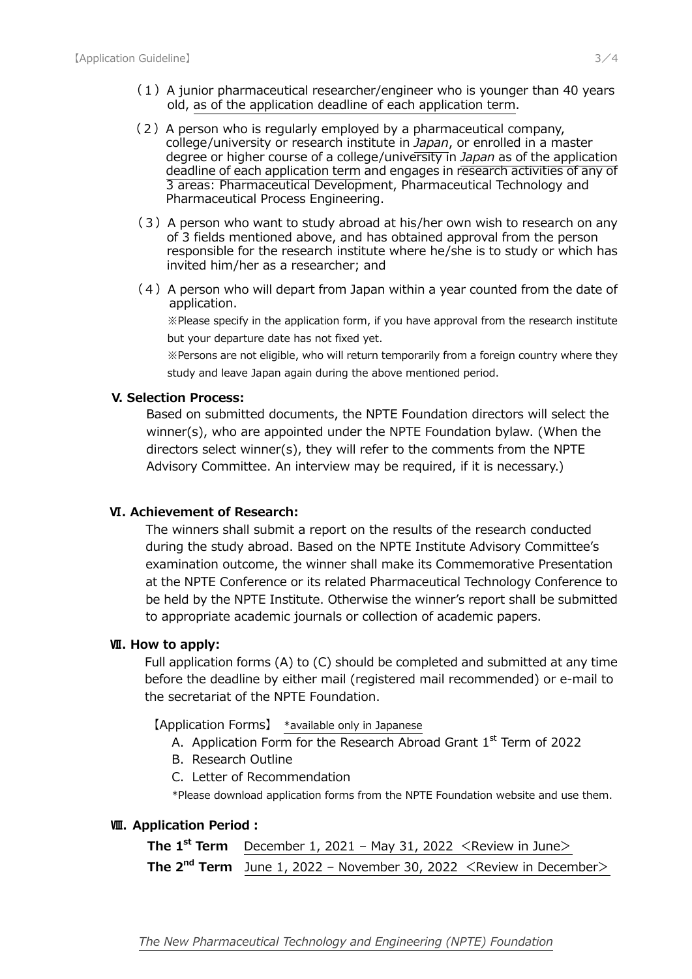- $(1)$  A junior pharmaceutical researcher/engineer who is younger than 40 years old, as of the application deadline of each application term.
- (2) A person who is regularly employed by a pharmaceutical company, college/university or research institute in *Japan*, or enrolled in a master degree or higher course of a college/university in *Japan* as of the application deadline of each application term and engages in research activities of any of 3 areas: Pharmaceutical Development, Pharmaceutical Technology and Pharmaceutical Process Engineering.
- (3) A person who want to study abroad at his/her own wish to research on any of 3 fields mentioned above, and has obtained approval from the person responsible for the research institute where he/she is to study or which has invited him/her as a researcher; and
- $(4)$  A person who will depart from Japan within a year counted from the date of application.

 ※Please specify in the application form, if you have approval from the research institute but your departure date has not fixed yet.

 ※Persons are not eligible, who will return temporarily from a foreign country where they study and leave Japan again during the above mentioned period.

#### **V. Selection Process:**

Based on submitted documents, the NPTE Foundation directors will select the winner(s), who are appointed under the NPTE Foundation bylaw. (When the directors select winner(s), they will refer to the comments from the NPTE Advisory Committee. An interview may be required, if it is necessary.)

#### **Ⅵ. Achievement of Research:**

The winners shall submit a report on the results of the research conducted during the study abroad. Based on the NPTE Institute Advisory Committee's examination outcome, the winner shall make its Commemorative Presentation at the NPTE Conference or its related Pharmaceutical Technology Conference to be held by the NPTE Institute. Otherwise the winner's report shall be submitted to appropriate academic journals or collection of academic papers.

#### **Ⅶ. How to apply:**

Full application forms (A) to (C) should be completed and submitted at any time before the deadline by either mail (registered mail recommended) or e-mail to the secretariat of the NPTE Foundation.

【Application Forms】 \*available only in Japanese

- A. Application Form for the Research Abroad Grant  $1<sup>st</sup>$  Term of 2022
- B. Research Outline
- C.Letter of Recommendation

\*Please download application forms from the NPTE Foundation website and use them.

#### **Ⅷ. Application Period:**

**The 1<sup>st</sup> Term** December 1, 2021 – May 31, 2022  $\leq$  Review in June> **The**  $2^{nd}$  **Term** June 1, 2022 – November 30, 2022 <Review in December>